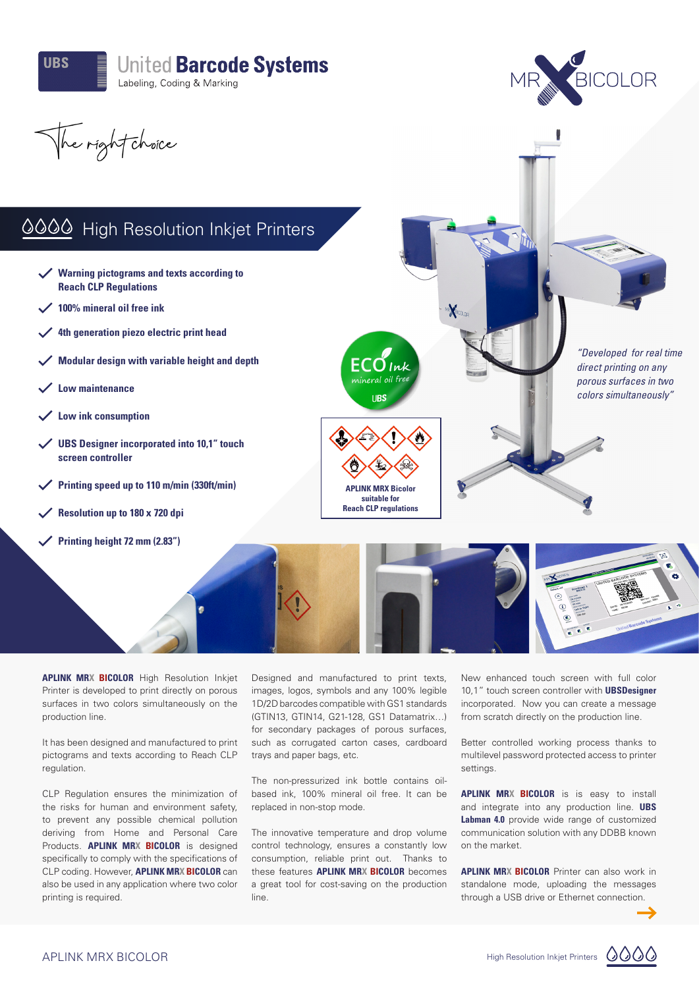



The right choice

## 0000 High Resolution Inkjet Printers

- **Warning pictograms and texts according to Reach CLP Regulations**
- **100% mineral oil free ink**
- **4th generation piezo electric print head**
- **Modular design with variable height and depth**
- **Low maintenance**
- **Low ink consumption**
- **UBS Designer incorporated into 10,1" touch screen controller**
- **Printing speed up to 110 m/min (330ft/min)**
- **Resolution up to 180 x 720 dpi**
- **Printing height 72 mm (2.83")**





*"Developed for real time direct printing on any porous surfaces in two colors simultaneously"*

**APLINK MRX BICOLOR** High Resolution Inkjet Printer is developed to print directly on porous surfaces in two colors simultaneously on the production line.

It has been designed and manufactured to print pictograms and texts according to Reach CLP regulation.

CLP Regulation ensures the minimization of the risks for human and environment safety, to prevent any possible chemical pollution deriving from Home and Personal Care Products. **APLINK MRX BICOLOR** is designed specifically to comply with the specifications of CLP coding. However, **APLINK MRX BICOLOR** can also be used in any application where two color printing is required.

Designed and manufactured to print texts, images, logos, symbols and any 100% legible 1D/2D barcodes compatible with GS1 standards (GTIN13, GTIN14, G21-128, GS1 Datamatrix…) for secondary packages of porous surfaces, such as corrugated carton cases, cardboard trays and paper bags, etc.

The non-pressurized ink bottle contains oilbased ink, 100% mineral oil free. It can be replaced in non-stop mode.

The innovative temperature and drop volume control technology, ensures a constantly low consumption, reliable print out. Thanks to these features **APLINK MRX BICOLOR** becomes a great tool for cost-saving on the production line.

New enhanced touch screen with full color 10,1" touch screen controller with **UBSDesigner**  incorporated. Now you can create a message from scratch directly on the production line.

Better controlled working process thanks to multilevel password protected access to printer settings.

**APLINK MRX BICOLOR** is is easy to install and integrate into any production line. **UBS Labman 4.0** provide wide range of customized communication solution with any DDBB known on the market.

**APLINK MRX BICOLOR** Printer can also work in standalone mode, uploading the messages through a USB drive or Ethernet connection.



0000